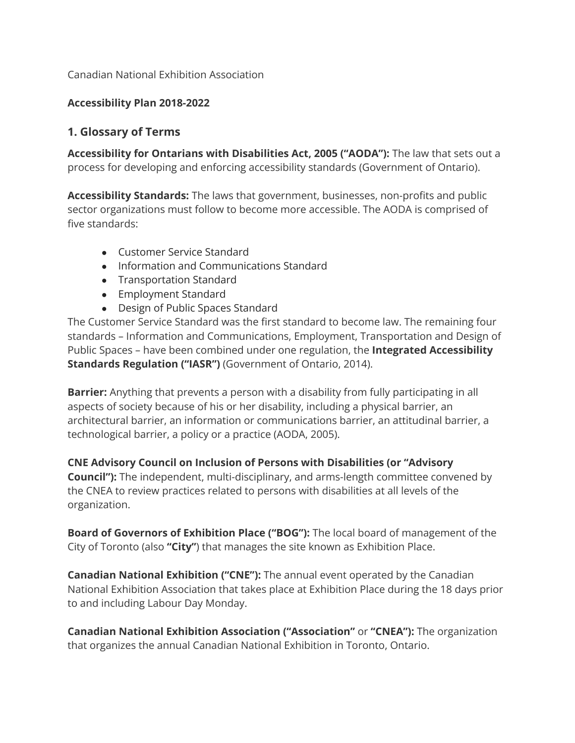Canadian National Exhibition Association

### **Accessibility Plan 2018-2022**

# **1. Glossary of Terms**

**Accessibility for Ontarians with Disabilities Act, 2005 ("AODA"):** The law that sets out a process for developing and enforcing accessibility standards (Government of Ontario).

**Accessibility Standards:** The laws that government, businesses, non-profits and public sector organizations must follow to become more accessible. The AODA is comprised of five standards:

- Customer Service Standard
- Information and Communications Standard
- Transportation Standard
- Employment Standard
- Design of Public Spaces Standard

The Customer Service Standard was the first standard to become law. The remaining four standards – Information and Communications, Employment, Transportation and Design of Public Spaces – have been combined under one regulation, the **Integrated Accessibility Standards Regulation ("IASR")** (Government of Ontario, 2014).

**Barrier:** Anything that prevents a person with a disability from fully participating in all aspects of society because of his or her disability, including a physical barrier, an architectural barrier, an information or communications barrier, an attitudinal barrier, a technological barrier, a policy or a practice (AODA, 2005).

**CNE Advisory Council on Inclusion of Persons with Disabilities (or "Advisory Council"):** The independent, multi-disciplinary, and arms-length committee convened by the CNEA to review practices related to persons with disabilities at all levels of the organization.

**Board of Governors of Exhibition Place ("BOG"):** The local board of management of the City of Toronto (also **"City"**) that manages the site known as Exhibition Place.

**Canadian National Exhibition ("CNE"):** The annual event operated by the Canadian National Exhibition Association that takes place at Exhibition Place during the 18 days prior to and including Labour Day Monday.

**Canadian National Exhibition Association ("Association"** or **"CNEA"):** The organization that organizes the annual Canadian National Exhibition in Toronto, Ontario.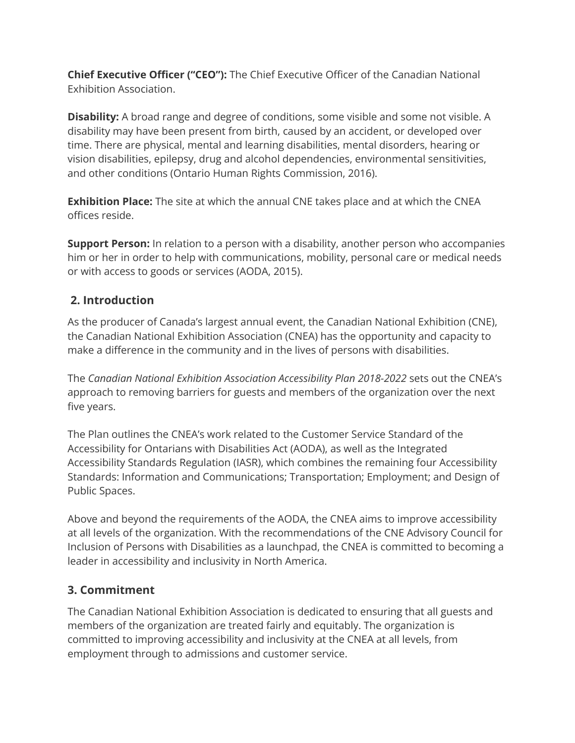**Chief Executive Officer ("CEO"):** The Chief Executive Officer of the Canadian National Exhibition Association.

**Disability:** A broad range and degree of conditions, some visible and some not visible. A disability may have been present from birth, caused by an accident, or developed over time. There are physical, mental and learning disabilities, mental disorders, hearing or vision disabilities, epilepsy, drug and alcohol dependencies, environmental sensitivities, and other conditions (Ontario Human Rights Commission, 2016).

**Exhibition Place:** The site at which the annual CNE takes place and at which the CNEA offices reside.

**Support Person:** In relation to a person with a disability, another person who accompanies him or her in order to help with communications, mobility, personal care or medical needs or with access to goods or services (AODA, 2015).

# **2. Introduction**

As the producer of Canada's largest annual event, the Canadian National Exhibition (CNE), the Canadian National Exhibition Association (CNEA) has the opportunity and capacity to make a difference in the community and in the lives of persons with disabilities.

The *Canadian National Exhibition Association Accessibility Plan 2018-2022* sets out the CNEA's approach to removing barriers for guests and members of the organization over the next five years.

The Plan outlines the CNEA's work related to the Customer Service Standard of the Accessibility for Ontarians with Disabilities Act (AODA), as well as the Integrated Accessibility Standards Regulation (IASR), which combines the remaining four Accessibility Standards: Information and Communications; Transportation; Employment; and Design of Public Spaces.

Above and beyond the requirements of the AODA, the CNEA aims to improve accessibility at all levels of the organization. With the recommendations of the CNE Advisory Council for Inclusion of Persons with Disabilities as a launchpad, the CNEA is committed to becoming a leader in accessibility and inclusivity in North America.

# **3. Commitment**

The Canadian National Exhibition Association is dedicated to ensuring that all guests and members of the organization are treated fairly and equitably. The organization is committed to improving accessibility and inclusivity at the CNEA at all levels, from employment through to admissions and customer service.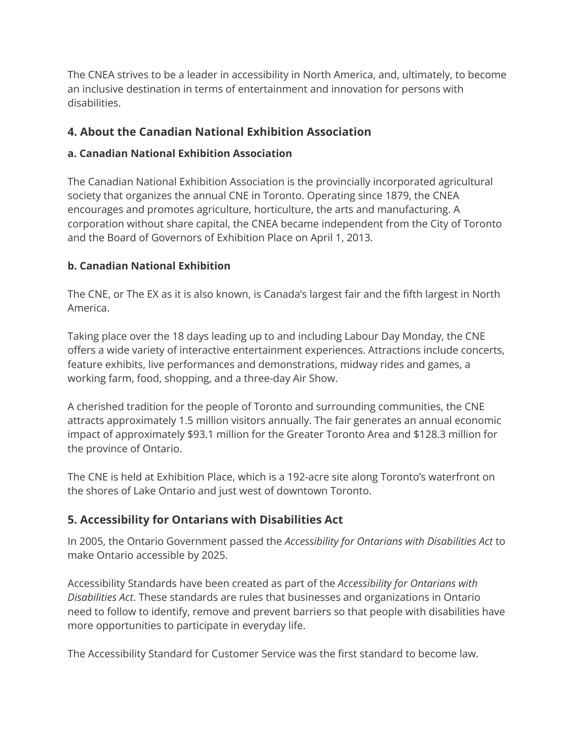The CNEA strives to be a leader in accessibility in North America, and, ultimately, to become an inclusive destination in terms of entertainment and innovation for persons with disabilities.

# **4. About the Canadian National Exhibition Association**

### **a. Canadian National Exhibition Association**

The Canadian National Exhibition Association is the provincially incorporated agricultural society that organizes the annual CNE in Toronto. Operating since 1879, the CNEA encourages and promotes agriculture, horticulture, the arts and manufacturing. A corporation without share capital, the CNEA became independent from the City of Toronto and the Board of Governors of Exhibition Place on April 1, 2013.

## **b. Canadian National Exhibition**

The CNE, or The EX as it is also known, is Canada's largest fair and the fifth largest in North America.

Taking place over the 18 days leading up to and including Labour Day Monday, the CNE offers a wide variety of interactive entertainment experiences. Attractions include concerts, feature exhibits, live performances and demonstrations, midway rides and games, a working farm, food, shopping, and a three-day Air Show.

A cherished tradition for the people of Toronto and surrounding communities, the CNE attracts approximately 1.5 million visitors annually. The fair generates an annual economic impact of approximately \$93.1 million for the Greater Toronto Area and \$128.3 million for the province of Ontario.

The CNE is held at Exhibition Place, which is a 192-acre site along Toronto's waterfront on the shores of Lake Ontario and just west of downtown Toronto.

# **5. Accessibility for Ontarians with Disabilities Act**

In 2005, the Ontario Government passed the *Accessibility for Ontarians with Disabilities Act* to make Ontario accessible by 2025.

Accessibility Standards have been created as part of the *Accessibility for Ontarians with Disabilities Act*. These standards are rules that businesses and organizations in Ontario need to follow to identify, remove and prevent barriers so that people with disabilities have more opportunities to participate in everyday life.

The Accessibility Standard for Customer Service was the first standard to become law.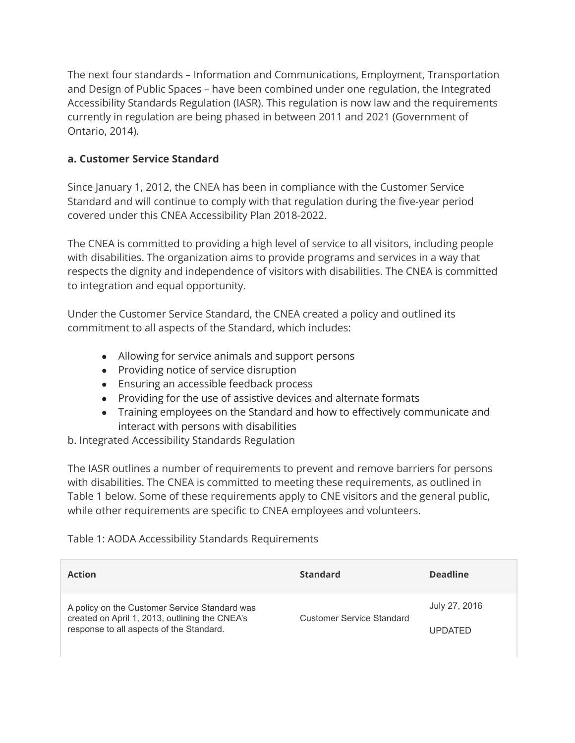The next four standards – Information and Communications, Employment, Transportation and Design of Public Spaces – have been combined under one regulation, the Integrated Accessibility Standards Regulation (IASR). This regulation is now law and the requirements currently in regulation are being phased in between 2011 and 2021 (Government of Ontario, 2014).

#### **a. Customer Service Standard**

Since January 1, 2012, the CNEA has been in compliance with the Customer Service Standard and will continue to comply with that regulation during the five-year period covered under this CNEA Accessibility Plan 2018-2022.

The CNEA is committed to providing a high level of service to all visitors, including people with disabilities. The organization aims to provide programs and services in a way that respects the dignity and independence of visitors with disabilities. The CNEA is committed to integration and equal opportunity.

Under the Customer Service Standard, the CNEA created a policy and outlined its commitment to all aspects of the Standard, which includes:

- Allowing for service animals and support persons
- Providing notice of service disruption
- Ensuring an accessible feedback process
- Providing for the use of assistive devices and alternate formats
- Training employees on the Standard and how to effectively communicate and interact with persons with disabilities

b. Integrated Accessibility Standards Regulation

The IASR outlines a number of requirements to prevent and remove barriers for persons with disabilities. The CNEA is committed to meeting these requirements, as outlined in Table 1 below. Some of these requirements apply to CNE visitors and the general public, while other requirements are specific to CNEA employees and volunteers.

#### Table 1: AODA Accessibility Standards Requirements

| <b>Action</b>                                                                                                                       | <b>Standard</b> | <b>Deadline</b> |
|-------------------------------------------------------------------------------------------------------------------------------------|-----------------|-----------------|
| A policy on the Customer Service Standard was<br>created on April 1, 2013, outlining the CNEA's<br><b>Customer Service Standard</b> |                 | July 27, 2016   |
| response to all aspects of the Standard.                                                                                            |                 | <b>UPDATED</b>  |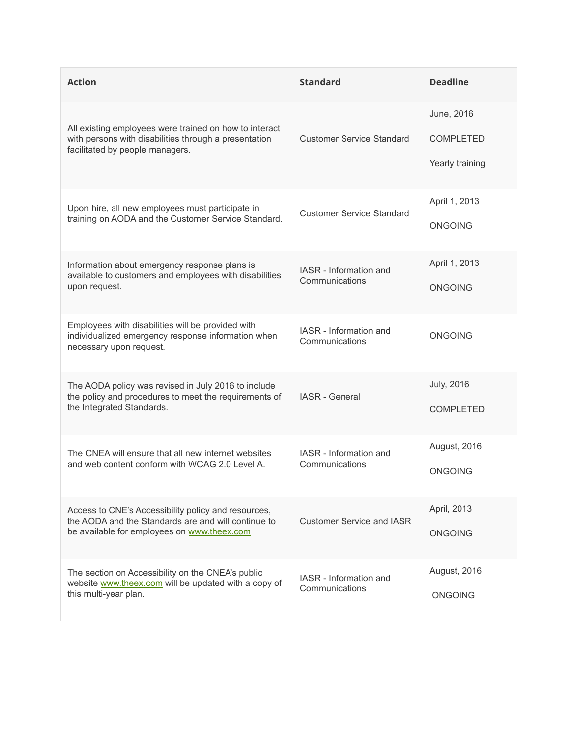| <b>Action</b>                                                                                                                                      | <b>Standard</b>                          | <b>Deadline</b>   |
|----------------------------------------------------------------------------------------------------------------------------------------------------|------------------------------------------|-------------------|
|                                                                                                                                                    |                                          | June, 2016        |
| All existing employees were trained on how to interact<br>with persons with disabilities through a presentation<br>facilitated by people managers. | <b>Customer Service Standard</b>         | <b>COMPLETED</b>  |
|                                                                                                                                                    |                                          | Yearly training   |
| Upon hire, all new employees must participate in                                                                                                   | <b>Customer Service Standard</b>         | April 1, 2013     |
| training on AODA and the Customer Service Standard.                                                                                                |                                          | ONGOING           |
| Information about emergency response plans is<br>available to customers and employees with disabilities                                            | IASR - Information and                   | April 1, 2013     |
| upon request.                                                                                                                                      | Communications                           | <b>ONGOING</b>    |
| Employees with disabilities will be provided with<br>individualized emergency response information when<br>necessary upon request.                 | IASR - Information and<br>Communications | <b>ONGOING</b>    |
| The AODA policy was revised in July 2016 to include<br><b>IASR</b> - General                                                                       |                                          | <b>July, 2016</b> |
| the policy and procedures to meet the requirements of<br>the Integrated Standards.                                                                 |                                          | <b>COMPLETED</b>  |
| The CNEA will ensure that all new internet websites                                                                                                | IASR - Information and                   | August, 2016      |
| and web content conform with WCAG 2.0 Level A.                                                                                                     | Communications                           | <b>ONGOING</b>    |
| Access to CNE's Accessibility policy and resources,<br>the AODA and the Standards are and will continue to                                         | <b>Customer Service and IASR</b>         | April, 2013       |
| be available for employees on www.theex.com                                                                                                        |                                          |                   |
| The section on Accessibility on the CNEA's public<br>website www.theex.com will be updated with a copy of                                          | IASR - Information and                   | August, 2016      |
| this multi-year plan.                                                                                                                              | Communications                           | <b>ONGOING</b>    |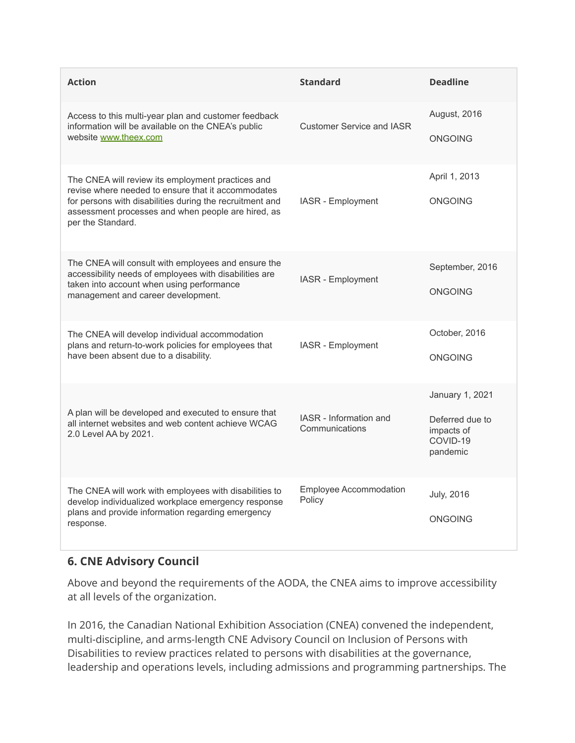| <b>Action</b>                                                                                                                                                                                                                                  | <b>Standard</b>                          | <b>Deadline</b>                                                          |
|------------------------------------------------------------------------------------------------------------------------------------------------------------------------------------------------------------------------------------------------|------------------------------------------|--------------------------------------------------------------------------|
| Access to this multi-year plan and customer feedback<br>information will be available on the CNEA's public<br>website www.theex.com                                                                                                            | <b>Customer Service and IASR</b>         | August, 2016<br><b>ONGOING</b>                                           |
| The CNEA will review its employment practices and<br>revise where needed to ensure that it accommodates<br>for persons with disabilities during the recruitment and<br>assessment processes and when people are hired, as<br>per the Standard. | IASR - Employment                        | April 1, 2013<br><b>ONGOING</b>                                          |
| The CNEA will consult with employees and ensure the<br>accessibility needs of employees with disabilities are<br>taken into account when using performance<br>management and career development.                                               | IASR - Employment                        | September, 2016<br><b>ONGOING</b>                                        |
| The CNEA will develop individual accommodation<br>plans and return-to-work policies for employees that<br>have been absent due to a disability.                                                                                                | IASR - Employment                        | October, 2016<br><b>ONGOING</b>                                          |
| A plan will be developed and executed to ensure that<br>all internet websites and web content achieve WCAG<br>2.0 Level AA by 2021.                                                                                                            | IASR - Information and<br>Communications | January 1, 2021<br>Deferred due to<br>impacts of<br>COVID-19<br>pandemic |
| The CNEA will work with employees with disabilities to<br>develop individualized workplace emergency response<br>plans and provide information regarding emergency<br>response.                                                                | <b>Employee Accommodation</b><br>Policy  | <b>July, 2016</b><br><b>ONGOING</b>                                      |

# **6. CNE Advisory Council**

Above and beyond the requirements of the AODA, the CNEA aims to improve accessibility at all levels of the organization.

In 2016, the Canadian National Exhibition Association (CNEA) convened the independent, multi-discipline, and arms-length CNE Advisory Council on Inclusion of Persons with Disabilities to review practices related to persons with disabilities at the governance, leadership and operations levels, including admissions and programming partnerships. The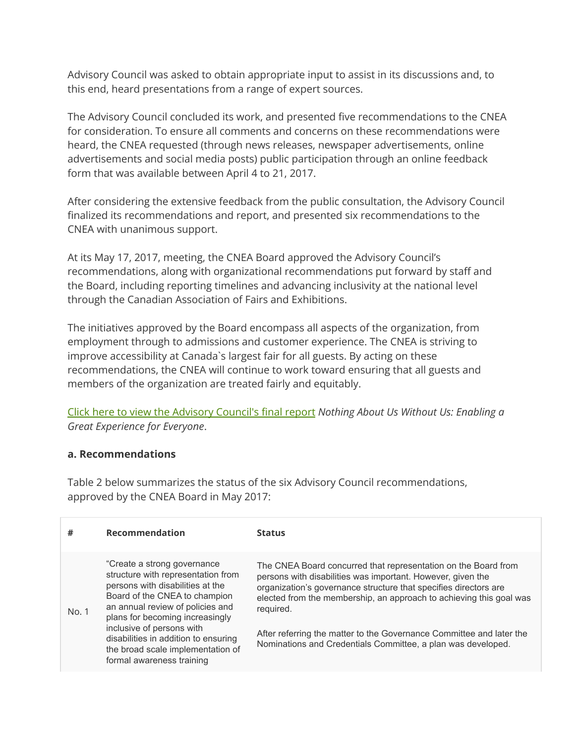Advisory Council was asked to obtain appropriate input to assist in its discussions and, to this end, heard presentations from a range of expert sources.

The Advisory Council concluded its work, and presented five recommendations to the CNEA for consideration. To ensure all comments and concerns on these recommendations were heard, the CNEA requested (through news releases, newspaper advertisements, online advertisements and social media posts) public participation through an online feedback form that was available between April 4 to 21, 2017.

After considering the extensive feedback from the public consultation, the Advisory Council finalized its recommendations and report, and presented six recommendations to the CNEA with unanimous support.

At its May 17, 2017, meeting, the CNEA Board approved the Advisory Council's recommendations, along with organizational recommendations put forward by staff and the Board, including reporting timelines and advancing inclusivity at the national level through the Canadian Association of Fairs and Exhibitions.

The initiatives approved by the Board encompass all aspects of the organization, from employment through to admissions and customer experience. The CNEA is striving to improve accessibility at Canada`s largest fair for all guests. By acting on these recommendations, the CNEA will continue to work toward ensuring that all guests and members of the organization are treated fairly and equitably.

Click here to view the Advisory [Council's](https://theex.com/main/guest-info/accessible-customer-service/consultation/recommendations) final report *Nothing About Us Without Us: Enabling a Great Experience for Everyone*.

#### **a. Recommendations**

Table 2 below summarizes the status of the six Advisory Council recommendations, approved by the CNEA Board in May 2017:

| #     | <b>Recommendation</b>                                                                                                                                                                                                                                                                                                                                 | <b>Status</b>                                                                                                                                                                                                                                                                                                                                                                                                                 |
|-------|-------------------------------------------------------------------------------------------------------------------------------------------------------------------------------------------------------------------------------------------------------------------------------------------------------------------------------------------------------|-------------------------------------------------------------------------------------------------------------------------------------------------------------------------------------------------------------------------------------------------------------------------------------------------------------------------------------------------------------------------------------------------------------------------------|
| No. 1 | "Create a strong governance"<br>structure with representation from<br>persons with disabilities at the<br>Board of the CNEA to champion<br>an annual review of policies and<br>plans for becoming increasingly<br>inclusive of persons with<br>disabilities in addition to ensuring<br>the broad scale implementation of<br>formal awareness training | The CNEA Board concurred that representation on the Board from<br>persons with disabilities was important. However, given the<br>organization's governance structure that specifies directors are<br>elected from the membership, an approach to achieving this goal was<br>required.<br>After referring the matter to the Governance Committee and later the<br>Nominations and Credentials Committee, a plan was developed. |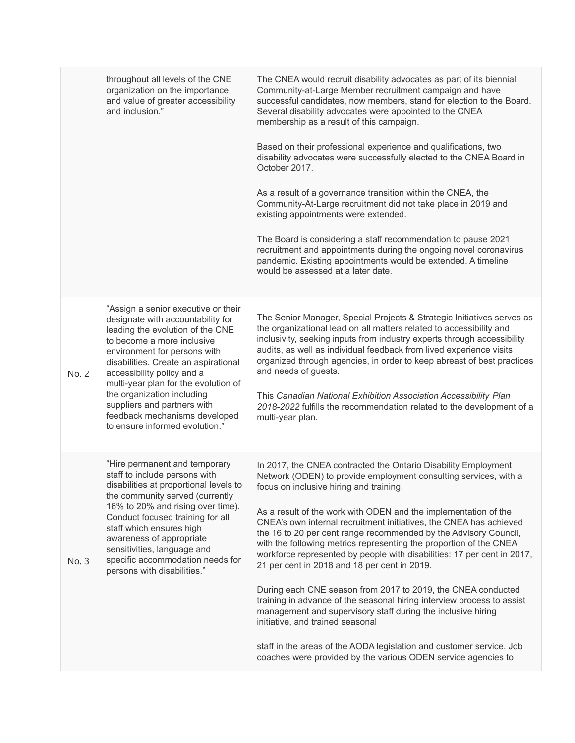|       | throughout all levels of the CNE<br>organization on the importance<br>and value of greater accessibility<br>and inclusion."                                                                                                                                                                                                                                                                                              | The CNEA would recruit disability advocates as part of its biennial<br>Community-at-Large Member recruitment campaign and have<br>successful candidates, now members, stand for election to the Board.<br>Several disability advocates were appointed to the CNEA<br>membership as a result of this campaign.<br>Based on their professional experience and qualifications, two<br>disability advocates were successfully elected to the CNEA Board in<br>October 2017.<br>As a result of a governance transition within the CNEA, the<br>Community-At-Large recruitment did not take place in 2019 and<br>existing appointments were extended.<br>The Board is considering a staff recommendation to pause 2021<br>recruitment and appointments during the ongoing novel coronavirus<br>pandemic. Existing appointments would be extended. A timeline<br>would be assessed at a later date.                                                                                       |
|-------|--------------------------------------------------------------------------------------------------------------------------------------------------------------------------------------------------------------------------------------------------------------------------------------------------------------------------------------------------------------------------------------------------------------------------|------------------------------------------------------------------------------------------------------------------------------------------------------------------------------------------------------------------------------------------------------------------------------------------------------------------------------------------------------------------------------------------------------------------------------------------------------------------------------------------------------------------------------------------------------------------------------------------------------------------------------------------------------------------------------------------------------------------------------------------------------------------------------------------------------------------------------------------------------------------------------------------------------------------------------------------------------------------------------------|
| No. 2 | "Assign a senior executive or their<br>designate with accountability for<br>leading the evolution of the CNE<br>to become a more inclusive<br>environment for persons with<br>disabilities. Create an aspirational<br>accessibility policy and a<br>multi-year plan for the evolution of<br>the organization including<br>suppliers and partners with<br>feedback mechanisms developed<br>to ensure informed evolution." | The Senior Manager, Special Projects & Strategic Initiatives serves as<br>the organizational lead on all matters related to accessibility and<br>inclusivity, seeking inputs from industry experts through accessibility<br>audits, as well as individual feedback from lived experience visits<br>organized through agencies, in order to keep abreast of best practices<br>and needs of guests.<br>This Canadian National Exhibition Association Accessibility Plan<br>2018-2022 fulfills the recommendation related to the development of a<br>multi-year plan.                                                                                                                                                                                                                                                                                                                                                                                                                 |
| No. 3 | "Hire permanent and temporary<br>staff to include persons with<br>disabilities at proportional levels to<br>the community served (currently<br>16% to 20% and rising over time).<br>Conduct focused training for all<br>staff which ensures high<br>awareness of appropriate<br>sensitivities, language and<br>specific accommodation needs for<br>persons with disabilities."                                           | In 2017, the CNEA contracted the Ontario Disability Employment<br>Network (ODEN) to provide employment consulting services, with a<br>focus on inclusive hiring and training.<br>As a result of the work with ODEN and the implementation of the<br>CNEA's own internal recruitment initiatives, the CNEA has achieved<br>the 16 to 20 per cent range recommended by the Advisory Council,<br>with the following metrics representing the proportion of the CNEA<br>workforce represented by people with disabilities: 17 per cent in 2017,<br>21 per cent in 2018 and 18 per cent in 2019.<br>During each CNE season from 2017 to 2019, the CNEA conducted<br>training in advance of the seasonal hiring interview process to assist<br>management and supervisory staff during the inclusive hiring<br>initiative, and trained seasonal<br>staff in the areas of the AODA legislation and customer service. Job<br>coaches were provided by the various ODEN service agencies to |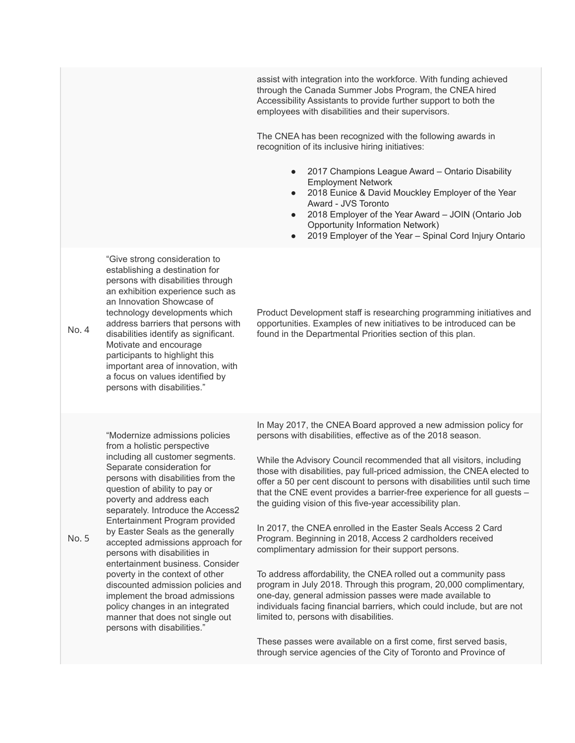assist with integration into the workforce. With funding achieved through the Canada Summer Jobs Program, the CNEA hired Accessibility Assistants to provide further support to both the employees with disabilities and their supervisors. The CNEA has been recognized with the following awards in recognition of its inclusive hiring initiatives: 2017 Champions League Award – Ontario Disability Employment Network 2018 Eunice & David Mouckley Employer of the Year Award - JVS Toronto 2018 Employer of the Year Award – JOIN (Ontario Job Opportunity Information Network) 2019 Employer of the Year - Spinal Cord Injury Ontario No. 4 "Give strong consideration to establishing a destination for persons with disabilities through an exhibition experience such as an Innovation Showcase of technology developments which address barriers that persons with disabilities identify as significant. Motivate and encourage participants to highlight this important area of innovation, with a focus on values identified by persons with disabilities." Product Development staff is researching programming initiatives and opportunities. Examples of new initiatives to be introduced can be found in the Departmental Priorities section of this plan. No. 5 "Modernize admissions policies from a holistic perspective including all customer segments. Separate consideration for persons with disabilities from the question of ability to pay or poverty and address each separately. Introduce the Access2 Entertainment Program provided by Easter Seals as the generally accepted admissions approach for persons with disabilities in entertainment business. Consider poverty in the context of other discounted admission policies and implement the broad admissions policy changes in an integrated manner that does not single out persons with disabilities." In May 2017, the CNEA Board approved a new admission policy for persons with disabilities, effective as of the 2018 season. While the Advisory Council recommended that all visitors, including those with disabilities, pay full-priced admission, the CNEA elected to offer a 50 per cent discount to persons with disabilities until such time that the CNE event provides a barrier-free experience for all guests – the guiding vision of this five-year accessibility plan. In 2017, the CNEA enrolled in the Easter Seals Access 2 Card Program. Beginning in 2018, Access 2 cardholders received complimentary admission for their support persons. To address affordability, the CNEA rolled out a community pass program in July 2018. Through this program, 20,000 complimentary, one-day, general admission passes were made available to individuals facing financial barriers, which could include, but are not limited to, persons with disabilities. These passes were available on a first come, first served basis, through service agencies of the City of Toronto and Province of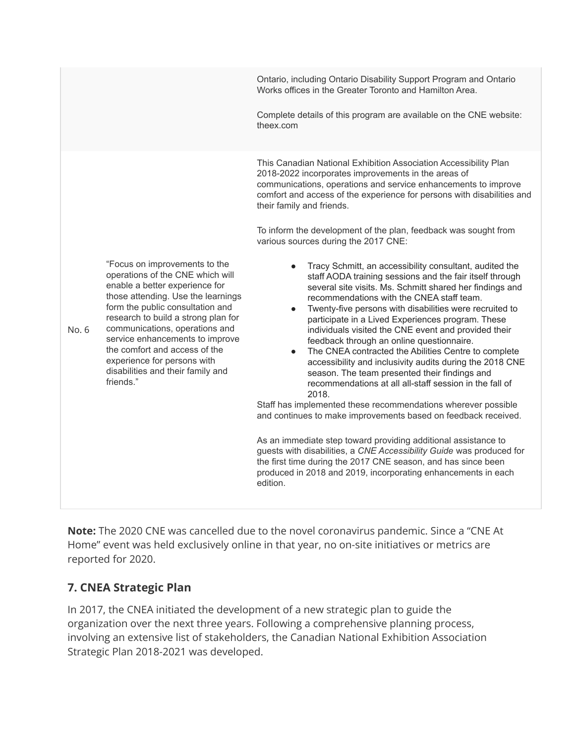Ontario, including Ontario Disability Support Program and Ontario Works offices in the Greater Toronto and Hamilton Area. Complete details of this program are available on the CNE website: theex.com No. 6 "Focus on improvements to the operations of the CNE which will enable a better experience for those attending. Use the learnings form the public consultation and research to build a strong plan for communications, operations and service enhancements to improve the comfort and access of the experience for persons with disabilities and their family and friends." This Canadian National Exhibition Association Accessibility Plan 2018-2022 incorporates improvements in the areas of communications, operations and service enhancements to improve comfort and access of the experience for persons with disabilities and their family and friends. To inform the development of the plan, feedback was sought from various sources during the 2017 CNE: Tracy Schmitt, an accessibility consultant, audited the staff AODA training sessions and the fair itself through several site visits. Ms. Schmitt shared her findings and recommendations with the CNEA staff team. Twenty-five persons with disabilities were recruited to participate in a Lived Experiences program. These individuals visited the CNE event and provided their feedback through an online questionnaire. The CNEA contracted the Abilities Centre to complete accessibility and inclusivity audits during the 2018 CNE season. The team presented their findings and recommendations at all all-staff session in the fall of 2018. Staff has implemented these recommendations wherever possible and continues to make improvements based on feedback received. As an immediate step toward providing additional assistance to guests with disabilities, a *CNE Accessibility Guide* was produced for the first time during the 2017 CNE season, and has since been produced in 2018 and 2019, incorporating enhancements in each edition.

**Note:** The 2020 CNE was cancelled due to the novel coronavirus pandemic. Since a "CNE At Home" event was held exclusively online in that year, no on-site initiatives or metrics are reported for 2020.

# **7. CNEA Strategic Plan**

In 2017, the CNEA initiated the development of a new strategic plan to guide the organization over the next three years. Following a comprehensive planning process, involving an extensive list of stakeholders, the Canadian National Exhibition Association Strategic Plan 2018-2021 was developed.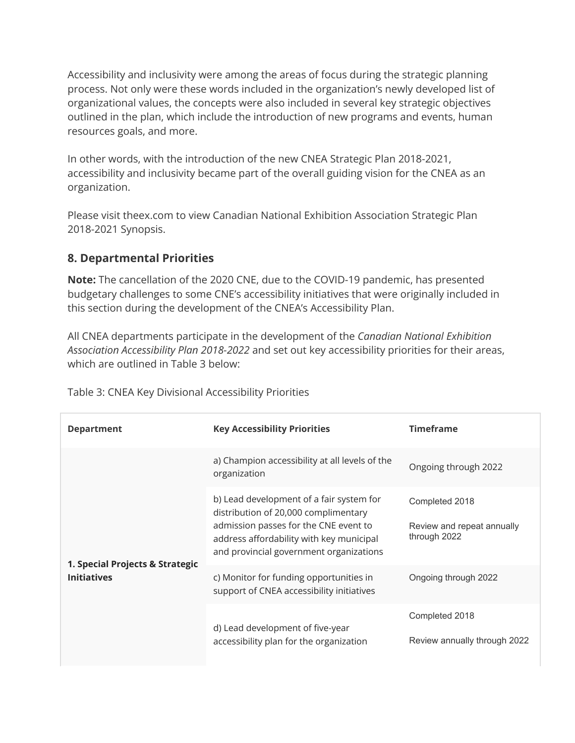Accessibility and inclusivity were among the areas of focus during the strategic planning process. Not only were these words included in the organization's newly developed list of organizational values, the concepts were also included in several key strategic objectives outlined in the plan, which include the introduction of new programs and events, human resources goals, and more.

In other words, with the introduction of the new CNEA Strategic Plan 2018-2021, accessibility and inclusivity became part of the overall guiding vision for the CNEA as an organization.

Please visit theex.com to view Canadian National Exhibition Association Strategic Plan 2018-2021 Synopsis.

# **8. Departmental Priorities**

**Note:** The cancellation of the 2020 CNE, due to the COVID-19 pandemic, has presented budgetary challenges to some CNE's accessibility initiatives that were originally included in this section during the development of the CNEA's Accessibility Plan.

All CNEA departments participate in the development of the *Canadian National Exhibition Association Accessibility Plan 2018-2022* and set out key accessibility priorities for their areas, which are outlined in Table 3 below:

| <b>Department</b>                                     | <b>Key Accessibility Priorities</b>                                                                                                                                                                              | <b>Timeframe</b>                                             |
|-------------------------------------------------------|------------------------------------------------------------------------------------------------------------------------------------------------------------------------------------------------------------------|--------------------------------------------------------------|
|                                                       | a) Champion accessibility at all levels of the<br>organization                                                                                                                                                   | Ongoing through 2022                                         |
|                                                       | b) Lead development of a fair system for<br>distribution of 20,000 complimentary<br>admission passes for the CNE event to<br>address affordability with key municipal<br>and provincial government organizations | Completed 2018<br>Review and repeat annually<br>through 2022 |
| 1. Special Projects & Strategic<br><b>Initiatives</b> | c) Monitor for funding opportunities in<br>support of CNEA accessibility initiatives                                                                                                                             | Ongoing through 2022                                         |
|                                                       | d) Lead development of five-year<br>accessibility plan for the organization                                                                                                                                      | Completed 2018<br>Review annually through 2022               |

Table 3: CNEA Key Divisional Accessibility Priorities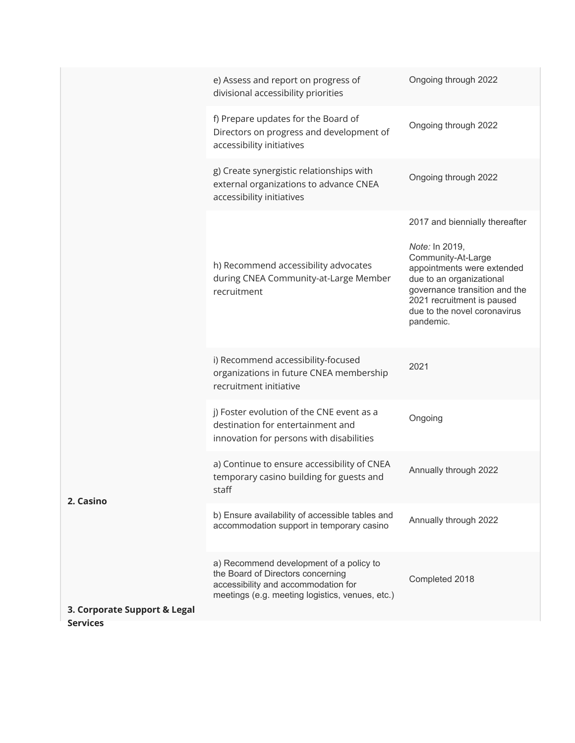|                                                 | e) Assess and report on progress of<br>divisional accessibility priorities                                                                                             | Ongoing through 2022                                                                                                                                                                                       |
|-------------------------------------------------|------------------------------------------------------------------------------------------------------------------------------------------------------------------------|------------------------------------------------------------------------------------------------------------------------------------------------------------------------------------------------------------|
|                                                 | f) Prepare updates for the Board of<br>Directors on progress and development of<br>accessibility initiatives                                                           | Ongoing through 2022                                                                                                                                                                                       |
|                                                 | g) Create synergistic relationships with<br>external organizations to advance CNEA<br>accessibility initiatives                                                        | Ongoing through 2022                                                                                                                                                                                       |
|                                                 |                                                                                                                                                                        | 2017 and biennially thereafter                                                                                                                                                                             |
|                                                 | h) Recommend accessibility advocates<br>during CNEA Community-at-Large Member<br>recruitment                                                                           | Note: In 2019,<br>Community-At-Large<br>appointments were extended<br>due to an organizational<br>governance transition and the<br>2021 recruitment is paused<br>due to the novel coronavirus<br>pandemic. |
|                                                 | i) Recommend accessibility-focused<br>organizations in future CNEA membership<br>recruitment initiative                                                                | 2021                                                                                                                                                                                                       |
|                                                 | j) Foster evolution of the CNE event as a<br>destination for entertainment and<br>innovation for persons with disabilities                                             | Ongoing                                                                                                                                                                                                    |
| 2. Casino                                       | a) Continue to ensure accessibility of CNEA<br>temporary casino building for guests and<br>staff                                                                       | Annually through 2022                                                                                                                                                                                      |
|                                                 | b) Ensure availability of accessible tables and<br>accommodation support in temporary casino                                                                           | Annually through 2022                                                                                                                                                                                      |
|                                                 | a) Recommend development of a policy to<br>the Board of Directors concerning<br>accessibility and accommodation for<br>meetings (e.g. meeting logistics, venues, etc.) | Completed 2018                                                                                                                                                                                             |
| 3. Corporate Support & Legal<br><b>Services</b> |                                                                                                                                                                        |                                                                                                                                                                                                            |
|                                                 |                                                                                                                                                                        |                                                                                                                                                                                                            |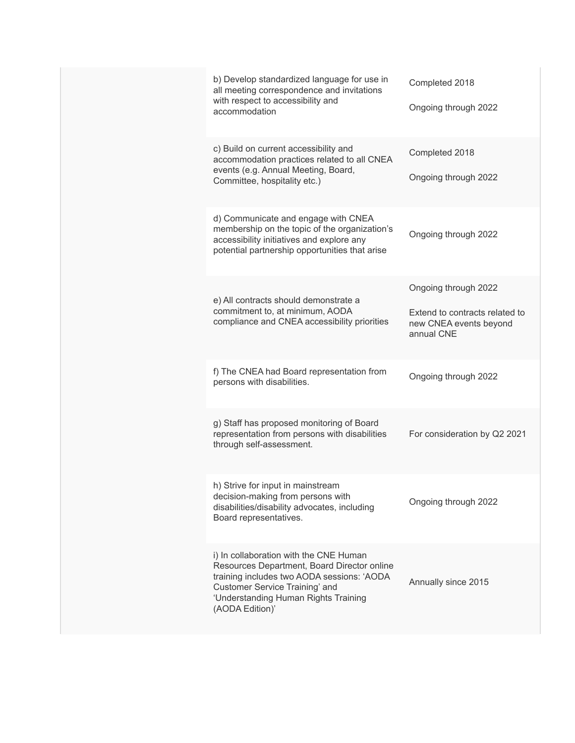|  | b) Develop standardized language for use in<br>all meeting correspondence and invitations<br>with respect to accessibility and<br>accommodation                                                                                  | Completed 2018<br>Ongoing through 2022                                                         |
|--|----------------------------------------------------------------------------------------------------------------------------------------------------------------------------------------------------------------------------------|------------------------------------------------------------------------------------------------|
|  | c) Build on current accessibility and<br>accommodation practices related to all CNEA<br>events (e.g. Annual Meeting, Board,<br>Committee, hospitality etc.)                                                                      | Completed 2018<br>Ongoing through 2022                                                         |
|  | d) Communicate and engage with CNEA<br>membership on the topic of the organization's<br>accessibility initiatives and explore any<br>potential partnership opportunities that arise                                              | Ongoing through 2022                                                                           |
|  | e) All contracts should demonstrate a<br>commitment to, at minimum, AODA<br>compliance and CNEA accessibility priorities                                                                                                         | Ongoing through 2022<br>Extend to contracts related to<br>new CNEA events beyond<br>annual CNF |
|  | f) The CNEA had Board representation from<br>persons with disabilities.                                                                                                                                                          | Ongoing through 2022                                                                           |
|  | g) Staff has proposed monitoring of Board<br>representation from persons with disabilities<br>through self-assessment.                                                                                                           | For consideration by Q2 2021                                                                   |
|  | h) Strive for input in mainstream<br>decision-making from persons with<br>disabilities/disability advocates, including<br>Board representatives.                                                                                 | Ongoing through 2022                                                                           |
|  | i) In collaboration with the CNE Human<br>Resources Department, Board Director online<br>training includes two AODA sessions: 'AODA<br>Customer Service Training' and<br>'Understanding Human Rights Training<br>(AODA Edition)' | Annually since 2015                                                                            |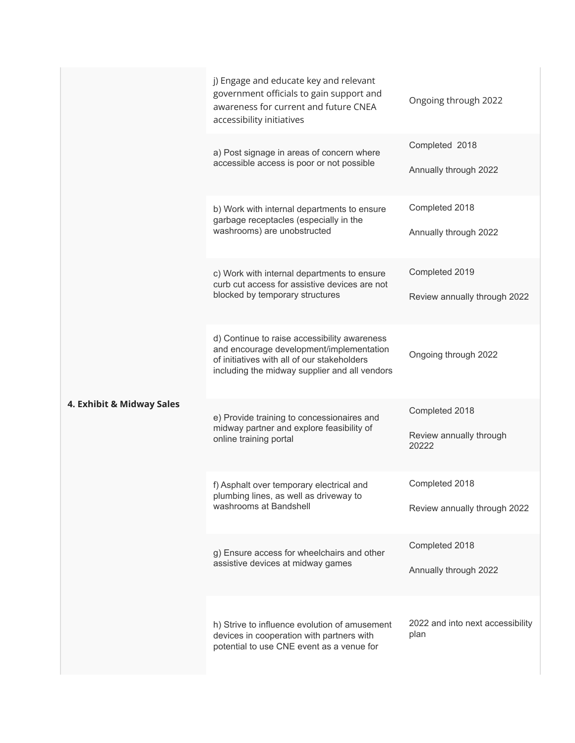|                           | j) Engage and educate key and relevant<br>government officials to gain support and<br>awareness for current and future CNEA<br>accessibility initiatives                                 | Ongoing through 2022                               |
|---------------------------|------------------------------------------------------------------------------------------------------------------------------------------------------------------------------------------|----------------------------------------------------|
|                           | a) Post signage in areas of concern where<br>accessible access is poor or not possible                                                                                                   | Completed 2018<br>Annually through 2022            |
|                           | b) Work with internal departments to ensure<br>garbage receptacles (especially in the<br>washrooms) are unobstructed                                                                     | Completed 2018<br>Annually through 2022            |
|                           | c) Work with internal departments to ensure<br>curb cut access for assistive devices are not<br>blocked by temporary structures                                                          | Completed 2019<br>Review annually through 2022     |
|                           | d) Continue to raise accessibility awareness<br>and encourage development/implementation<br>of initiatives with all of our stakeholders<br>including the midway supplier and all vendors | Ongoing through 2022                               |
| 4. Exhibit & Midway Sales | e) Provide training to concessionaires and<br>midway partner and explore feasibility of<br>online training portal                                                                        | Completed 2018<br>Review annually through<br>20222 |
|                           | f) Asphalt over temporary electrical and<br>plumbing lines, as well as driveway to<br>washrooms at Bandshell                                                                             | Completed 2018<br>Review annually through 2022     |
|                           | g) Ensure access for wheelchairs and other<br>assistive devices at midway games                                                                                                          | Completed 2018<br>Annually through 2022            |
|                           | h) Strive to influence evolution of amusement<br>devices in cooperation with partners with<br>potential to use CNE event as a venue for                                                  | 2022 and into next accessibility<br>plan           |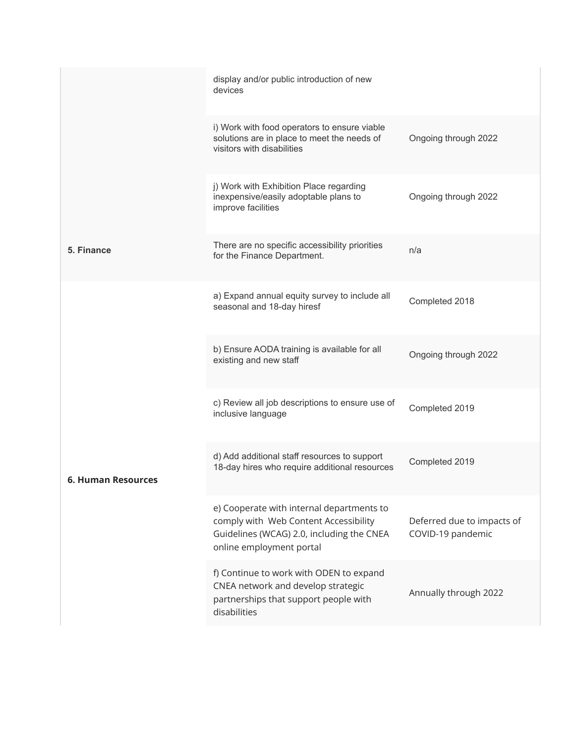|                           | display and/or public introduction of new<br>devices                                                                                                        |                                                 |
|---------------------------|-------------------------------------------------------------------------------------------------------------------------------------------------------------|-------------------------------------------------|
|                           | i) Work with food operators to ensure viable<br>solutions are in place to meet the needs of<br>visitors with disabilities                                   | Ongoing through 2022                            |
|                           | j) Work with Exhibition Place regarding<br>inexpensive/easily adoptable plans to<br>improve facilities                                                      | Ongoing through 2022                            |
| 5. Finance                | There are no specific accessibility priorities<br>for the Finance Department.                                                                               | n/a                                             |
|                           | a) Expand annual equity survey to include all<br>seasonal and 18-day hiresf                                                                                 | Completed 2018                                  |
|                           | b) Ensure AODA training is available for all<br>existing and new staff                                                                                      | Ongoing through 2022                            |
|                           | c) Review all job descriptions to ensure use of<br>inclusive language                                                                                       | Completed 2019                                  |
| <b>6. Human Resources</b> | d) Add additional staff resources to support<br>18-day hires who require additional resources                                                               | Completed 2019                                  |
|                           | e) Cooperate with internal departments to<br>comply with Web Content Accessibility<br>Guidelines (WCAG) 2.0, including the CNEA<br>online employment portal | Deferred due to impacts of<br>COVID-19 pandemic |
|                           | f) Continue to work with ODEN to expand<br>CNEA network and develop strategic<br>partnerships that support people with<br>disabilities                      | Annually through 2022                           |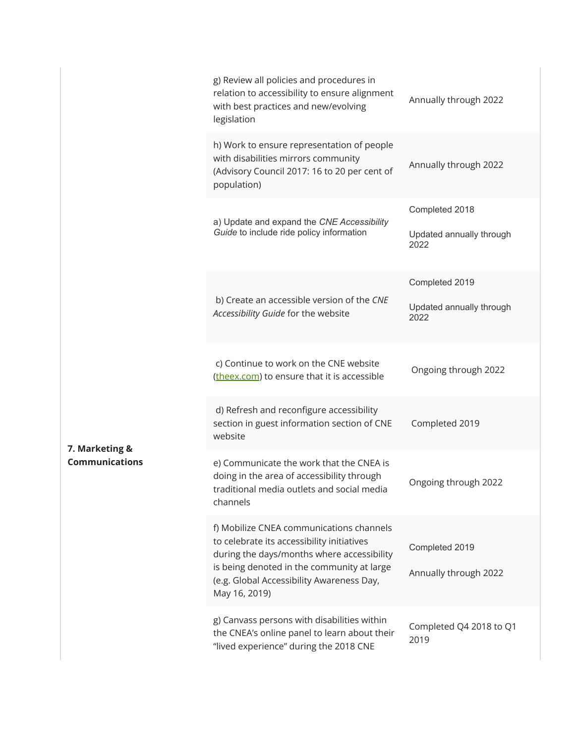|                       | g) Review all policies and procedures in<br>relation to accessibility to ensure alignment<br>with best practices and new/evolving<br>legislation                                                                                                 | Annually through 2022                              |
|-----------------------|--------------------------------------------------------------------------------------------------------------------------------------------------------------------------------------------------------------------------------------------------|----------------------------------------------------|
|                       | h) Work to ensure representation of people<br>with disabilities mirrors community<br>(Advisory Council 2017: 16 to 20 per cent of<br>population)                                                                                                 | Annually through 2022                              |
|                       | a) Update and expand the CNE Accessibility<br>Guide to include ride policy information                                                                                                                                                           | Completed 2018<br>Updated annually through<br>2022 |
|                       |                                                                                                                                                                                                                                                  | Completed 2019                                     |
|                       | b) Create an accessible version of the CNE<br>Accessibility Guide for the website                                                                                                                                                                | Updated annually through<br>2022                   |
|                       | c) Continue to work on the CNE website<br>(theex.com) to ensure that it is accessible                                                                                                                                                            | Ongoing through 2022                               |
| 7. Marketing &        | d) Refresh and reconfigure accessibility<br>section in guest information section of CNE<br>website                                                                                                                                               | Completed 2019                                     |
| <b>Communications</b> | e) Communicate the work that the CNEA is<br>doing in the area of accessibility through<br>traditional media outlets and social media<br>channels                                                                                                 | Ongoing through 2022                               |
|                       | f) Mobilize CNEA communications channels<br>to celebrate its accessibility initiatives<br>during the days/months where accessibility<br>is being denoted in the community at large<br>(e.g. Global Accessibility Awareness Day,<br>May 16, 2019) | Completed 2019<br>Annually through 2022            |
|                       | g) Canvass persons with disabilities within<br>the CNEA's online panel to learn about their<br>"lived experience" during the 2018 CNE                                                                                                            | Completed Q4 2018 to Q1<br>2019                    |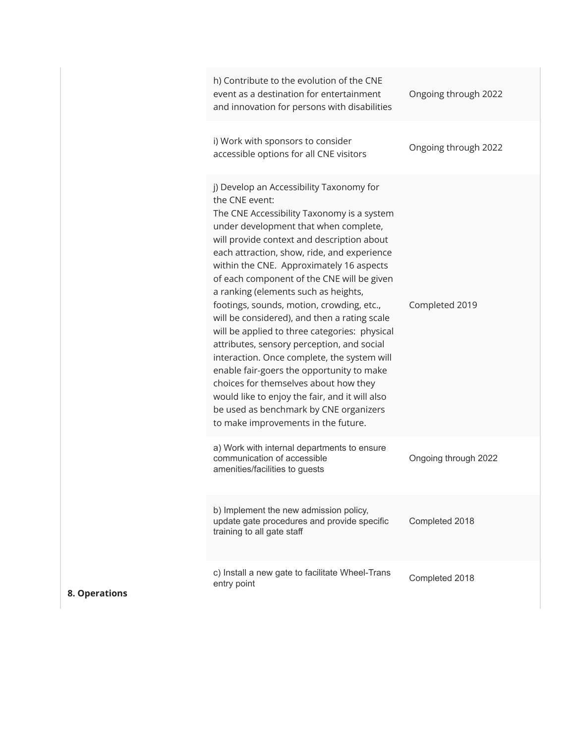|  | h) Contribute to the evolution of the CNE<br>event as a destination for entertainment<br>and innovation for persons with disabilities                                                                                                                                                                                                                                                                                                                                                                                                                                                                                                                                                                                                                                                                                                                | Ongoing through 2022 |
|--|------------------------------------------------------------------------------------------------------------------------------------------------------------------------------------------------------------------------------------------------------------------------------------------------------------------------------------------------------------------------------------------------------------------------------------------------------------------------------------------------------------------------------------------------------------------------------------------------------------------------------------------------------------------------------------------------------------------------------------------------------------------------------------------------------------------------------------------------------|----------------------|
|  | i) Work with sponsors to consider<br>accessible options for all CNE visitors                                                                                                                                                                                                                                                                                                                                                                                                                                                                                                                                                                                                                                                                                                                                                                         | Ongoing through 2022 |
|  | j) Develop an Accessibility Taxonomy for<br>the CNE event:<br>The CNE Accessibility Taxonomy is a system<br>under development that when complete,<br>will provide context and description about<br>each attraction, show, ride, and experience<br>within the CNE. Approximately 16 aspects<br>of each component of the CNE will be given<br>a ranking (elements such as heights,<br>footings, sounds, motion, crowding, etc.,<br>will be considered), and then a rating scale<br>will be applied to three categories: physical<br>attributes, sensory perception, and social<br>interaction. Once complete, the system will<br>enable fair-goers the opportunity to make<br>choices for themselves about how they<br>would like to enjoy the fair, and it will also<br>be used as benchmark by CNE organizers<br>to make improvements in the future. | Completed 2019       |
|  | a) Work with internal departments to ensure<br>communication of accessible<br>amenities/facilities to guests                                                                                                                                                                                                                                                                                                                                                                                                                                                                                                                                                                                                                                                                                                                                         | Ongoing through 2022 |
|  | b) Implement the new admission policy,<br>update gate procedures and provide specific<br>training to all gate staff                                                                                                                                                                                                                                                                                                                                                                                                                                                                                                                                                                                                                                                                                                                                  | Completed 2018       |
|  | c) Install a new gate to facilitate Wheel-Trans<br>entry point                                                                                                                                                                                                                                                                                                                                                                                                                                                                                                                                                                                                                                                                                                                                                                                       | Completed 2018       |

**8. Operations**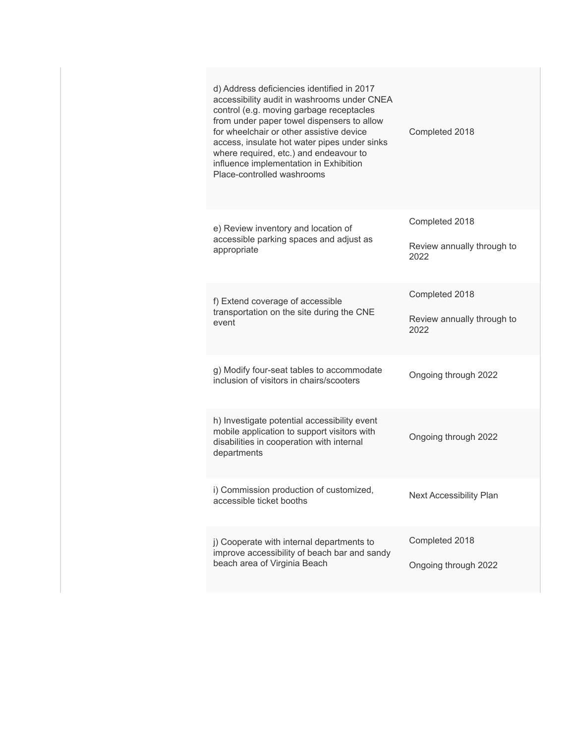| d) Address deficiencies identified in 2017<br>accessibility audit in washrooms under CNEA<br>control (e.g. moving garbage receptacles<br>from under paper towel dispensers to allow<br>for wheelchair or other assistive device<br>access, insulate hot water pipes under sinks<br>where required, etc.) and endeavour to<br>influence implementation in Exhibition<br>Place-controlled washrooms | Completed 2018                                       |
|---------------------------------------------------------------------------------------------------------------------------------------------------------------------------------------------------------------------------------------------------------------------------------------------------------------------------------------------------------------------------------------------------|------------------------------------------------------|
| e) Review inventory and location of<br>accessible parking spaces and adjust as<br>appropriate                                                                                                                                                                                                                                                                                                     | Completed 2018<br>Review annually through to<br>2022 |
| f) Extend coverage of accessible<br>transportation on the site during the CNE<br>event                                                                                                                                                                                                                                                                                                            | Completed 2018<br>Review annually through to<br>2022 |
| g) Modify four-seat tables to accommodate<br>inclusion of visitors in chairs/scooters                                                                                                                                                                                                                                                                                                             | Ongoing through 2022                                 |
| h) Investigate potential accessibility event<br>mobile application to support visitors with<br>disabilities in cooperation with internal<br>departments                                                                                                                                                                                                                                           | Ongoing through 2022                                 |
| i) Commission production of customized,<br>accessible ticket booths                                                                                                                                                                                                                                                                                                                               | <b>Next Accessibility Plan</b>                       |
| j) Cooperate with internal departments to<br>improve accessibility of beach bar and sandy<br>beach area of Virginia Beach                                                                                                                                                                                                                                                                         | Completed 2018<br>Ongoing through 2022               |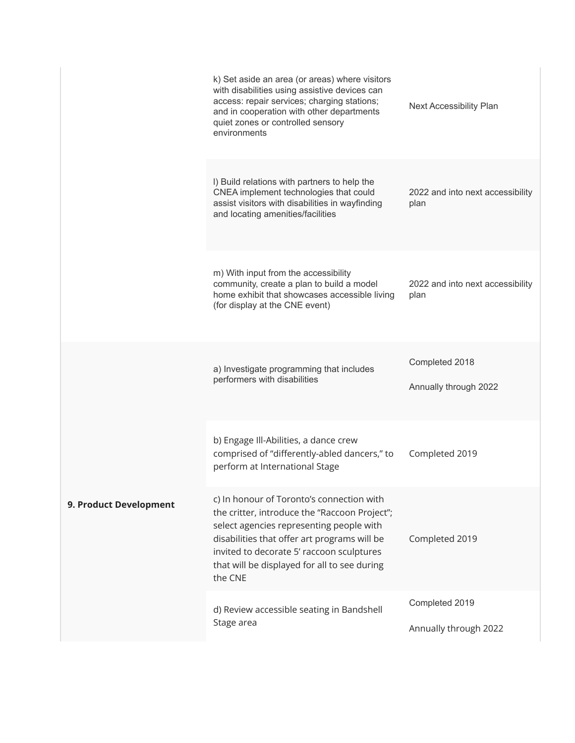|                        | k) Set aside an area (or areas) where visitors<br>with disabilities using assistive devices can<br>access: repair services; charging stations;<br>and in cooperation with other departments<br>quiet zones or controlled sensory<br>environments                                               | Next Accessibility Plan                  |
|------------------------|------------------------------------------------------------------------------------------------------------------------------------------------------------------------------------------------------------------------------------------------------------------------------------------------|------------------------------------------|
|                        | I) Build relations with partners to help the<br>CNEA implement technologies that could<br>assist visitors with disabilities in wayfinding<br>and locating amenities/facilities                                                                                                                 | 2022 and into next accessibility<br>plan |
|                        | m) With input from the accessibility<br>community, create a plan to build a model<br>home exhibit that showcases accessible living<br>(for display at the CNE event)                                                                                                                           | 2022 and into next accessibility<br>plan |
| 9. Product Development | a) Investigate programming that includes<br>performers with disabilities                                                                                                                                                                                                                       | Completed 2018<br>Annually through 2022  |
|                        | b) Engage Ill-Abilities, a dance crew<br>comprised of "differently-abled dancers," to<br>perform at International Stage                                                                                                                                                                        | Completed 2019                           |
|                        | c) In honour of Toronto's connection with<br>the critter, introduce the "Raccoon Project";<br>select agencies representing people with<br>disabilities that offer art programs will be<br>invited to decorate 5' raccoon sculptures<br>that will be displayed for all to see during<br>the CNE | Completed 2019                           |
|                        | d) Review accessible seating in Bandshell<br>Stage area                                                                                                                                                                                                                                        | Completed 2019<br>Annually through 2022  |